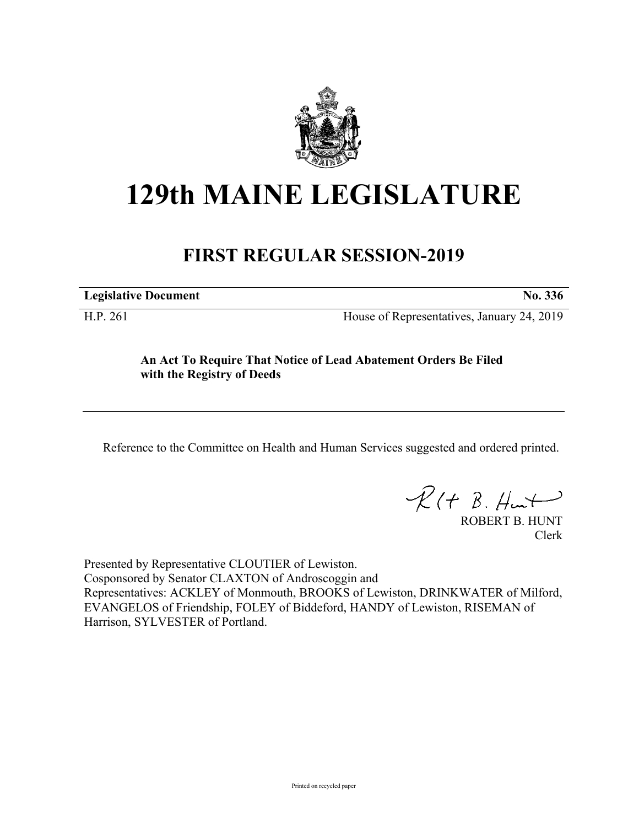

# **129th MAINE LEGISLATURE**

## **FIRST REGULAR SESSION-2019**

**Legislative Document No. 336**

H.P. 261 House of Representatives, January 24, 2019

### **An Act To Require That Notice of Lead Abatement Orders Be Filed with the Registry of Deeds**

Reference to the Committee on Health and Human Services suggested and ordered printed.

 $R(t B. Hmt)$ 

ROBERT B. HUNT Clerk

Presented by Representative CLOUTIER of Lewiston. Cosponsored by Senator CLAXTON of Androscoggin and Representatives: ACKLEY of Monmouth, BROOKS of Lewiston, DRINKWATER of Milford, EVANGELOS of Friendship, FOLEY of Biddeford, HANDY of Lewiston, RISEMAN of Harrison, SYLVESTER of Portland.